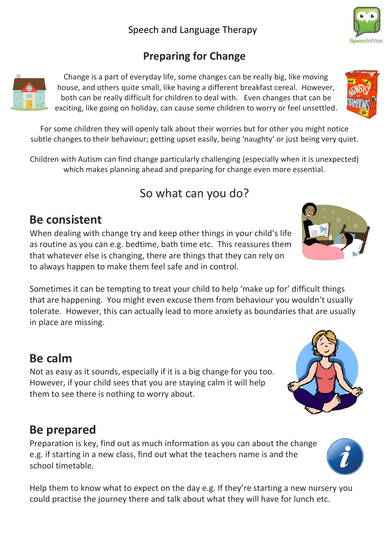#### **Preparing for Change**

Change is a part of everyday life, some changes can be really big, like moving house, and others quite small, like having a different breakfast cereal. However, both can be really difficult for children to deal with. Even changes that can be exciting, like going on holiday, can cause some children to worry or feel unsettled.

For some children they will openly talk about their worries but for other you might notice subtle changes to their behaviour; getting upset easily, being 'naughty' or just being very quiet.

Children with Autism can find change particularly challenging (especially when it is unexpected) which makes planning ahead and preparing for change even more essential.

# So what can you do?

## **Be consistent**

When dealing with change try and keep other things in your child's life as routine as you can e.g. bedtime, bath time etc. This reassures them that whatever else is changing, there are things that they can rely on to always happen to make them feel safe and in control.

Sometimes it can be tempting to treat your child to help 'make up for' difficult things that are happening. You might even excuse them from behaviour you wouldn't usually tolerate. However, this can actually lead to more anxiety as boundaries that are usually in place are missing.

## **Be calm**

Not as easy as it sounds, especially if it is a big change for you too. However, if your child sees that you are staying calm it will help them to see there is nothing to worry about.

#### **Be prepared**

Preparation is key, find out as much information as you can about the change e.g. if starting in a new class, find out what the teachers name is and the school timetable.

Help them to know what to expect on the day e.g. If they're starting a new nursery you could practise the journey there and talk about what they will have for lunch etc.